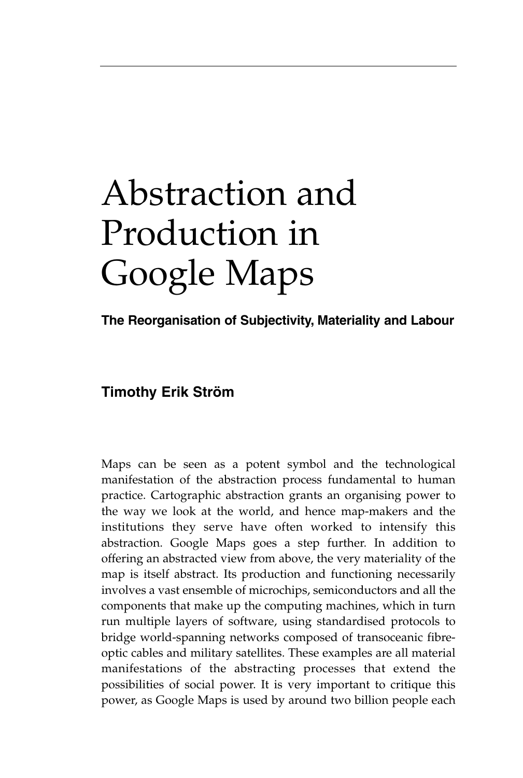# Abstraction and Production in Google Maps

**The Reorganisation of Subjectivity, Materiality and Labour**

## **Timothy Erik Ström**

Maps can be seen as a potent symbol and the technological manifestation of the abstraction process fundamental to human practice. Cartographic abstraction grants an organising power to the way we look at the world, and hence map-makers and the institutions they serve have often worked to intensify this abstraction. Google Maps goes a step further. In addition to offering an abstracted view from above, the very materiality of the map is itself abstract. Its production and functioning necessarily involves a vast ensemble of microchips, semiconductors and all the components that make up the computing machines, which in turn run multiple layers of software, using standardised protocols to bridge world-spanning networks composed of transoceanic fibreoptic cables and military satellites. These examples are all material manifestations of the abstracting processes that extend the possibilities of social power. It is very important to critique this power, as Google Maps is used by around two billion people each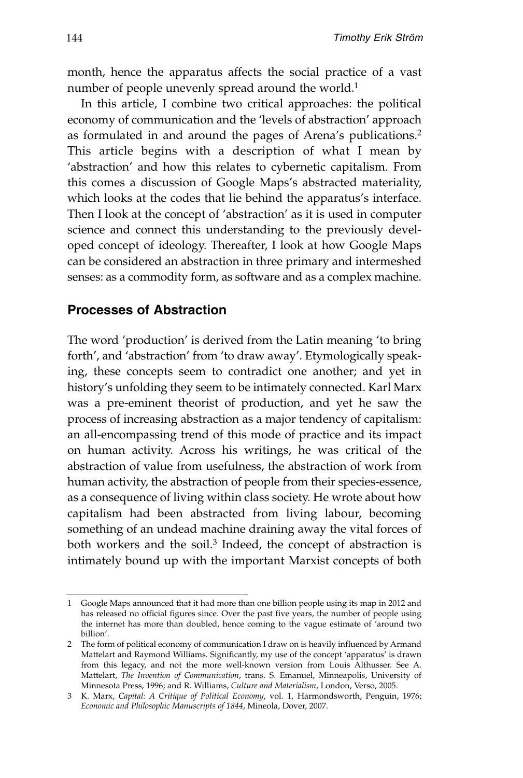month, hence the apparatus affects the social practice of a vast number of people unevenly spread around the world.<sup>1</sup>

In this article, I combine two critical approaches: the political economy of communication and the 'levels of abstraction' approach as formulated in and around the pages of Arena's publications.2 This article begins with a description of what I mean by 'abstraction' and how this relates to cybernetic capitalism. From this comes a discussion of Google Maps's abstracted materiality, which looks at the codes that lie behind the apparatus's interface. Then I look at the concept of 'abstraction' as it is used in computer science and connect this understanding to the previously developed concept of ideology. Thereafter, I look at how Google Maps can be considered an abstraction in three primary and intermeshed senses: as a commodity form, as software and as a complex machine.

#### **Processes of Abstraction**

The word 'production' is derived from the Latin meaning 'to bring forth', and 'abstraction' from 'to draw away'. Etymologically speak ing, these concepts seem to contradict one another; and yet in history's unfolding they seem to be intimately connected. Karl Marx was a pre-eminent theorist of production, and yet he saw the process of increasing abstraction as a major tendency of capitalism: an all-encompassing trend of this mode of practice and its impact on human activity. Across his writings, he was critical of the abstraction of value from usefulness, the abstraction of work from human activity, the abstraction of people from their species-essence, as a consequence of living within class society. He wrote about how capitalism had been abstracted from living labour, becoming something of an undead machine draining away the vital forces of both workers and the soil.<sup>3</sup> Indeed, the concept of abstraction is intimately bound up with the important Marxist concepts of both

<sup>1</sup> Google Maps announced that it had more than one billion people using its map in 2012 and has released no official figures since. Over the past five years, the number of people using the internet has more than doubled, hence coming to the vague estimate of 'around two billion'.

<sup>2</sup> The form of political economy of communication I draw on is heavily influenced by Armand Mattelart and Raymond Williams. Significantly, my use of the concept 'apparatus' is drawn from this legacy, and not the more well-known version from Louis Althusser. See A. Mattelart, *The Invention of Communication*, trans. S. Emanuel, Minneapolis, University of Minnesota Press, 1996; and R. Williams, *Culture and Materialism*, London, Verso, 2005.

<sup>3</sup> K. Marx, *Capital: A Critique of Political Economy*, vol. 1, Harmondsworth, Penguin, 1976; *Economic and Philosophic Manuscripts of 1844*, Mineola, Dover, 2007.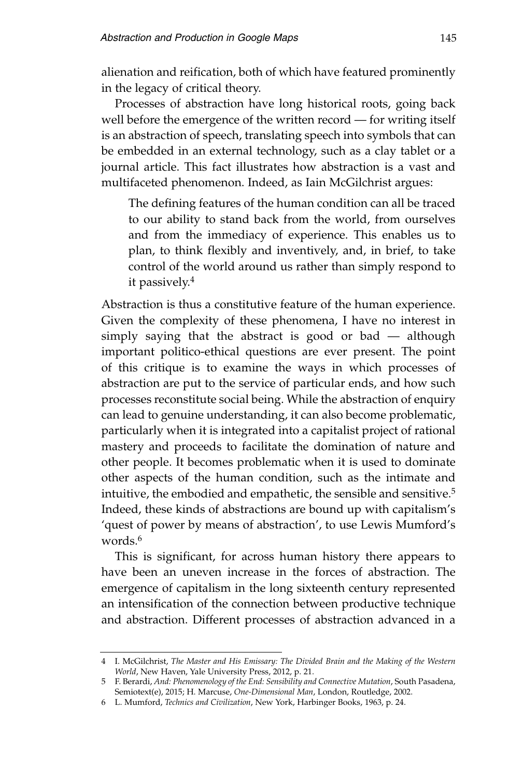alienation and reification, both of which have featured prominently in the legacy of critical theory.

Processes of abstraction have long historical roots, going back well before the emergence of the written record — for writing itself is an abstraction of speech, translating speech into symbols that can be embedded in an external technology, such as a clay tablet or a journal article. This fact illustrates how abstraction is a vast and multifaceted phenomenon. Indeed, as Iain McGilchrist argues:

The defining features of the human condition can all be traced to our ability to stand back from the world, from ourselves and from the immediacy of experience. This enables us to plan, to think flexibly and inventively, and, in brief, to take control of the world around us rather than simply respond to it passively.4

Abstraction is thus a constitutive feature of the human experience. Given the complexity of these phenomena, I have no interest in simply saying that the abstract is good or bad — although important politico-ethical questions are ever present. The point of this critique is to examine the ways in which processes of abstraction are put to the service of particular ends, and how such processes reconstitute social being. While the abstraction of enquiry can lead to genuine understanding, it can also become problematic, particularly when it is integrated into a capitalist project of rational mastery and proceeds to facilitate the domination of nature and other people. It becomes problematic when it is used to dominate other aspects of the human condition, such as the intimate and intuitive, the embodied and empathetic, the sensible and sensitive.<sup>5</sup> Indeed, these kinds of abstractions are bound up with capitalism's 'quest of power by means of abstraction', to use Lewis Mumford's words.<sup>6</sup>

This is significant, for across human history there appears to have been an uneven increase in the forces of abstraction. The emergence of capitalism in the long sixteenth century represented an intensification of the connection between productive technique and abstraction. Different processes of abstraction advanced in a

<sup>4</sup> I. McGilchrist, *The Master and His Emissary: The Divided Brain and the Making of the Western World*, New Haven, Yale University Press, 2012, p. 21.

<sup>5</sup> F. Berardi, *And: Phenomenology of the End: Sensibility and Connective Mutation*, South Pasadena, Semiotext(e), 2015; H. Marcuse, *One-Dimensional Man*, London, Routledge, 2002.

<sup>6</sup> L. Mumford, *Technics and Civilization*, New York, Harbinger Books, 1963, p. 24.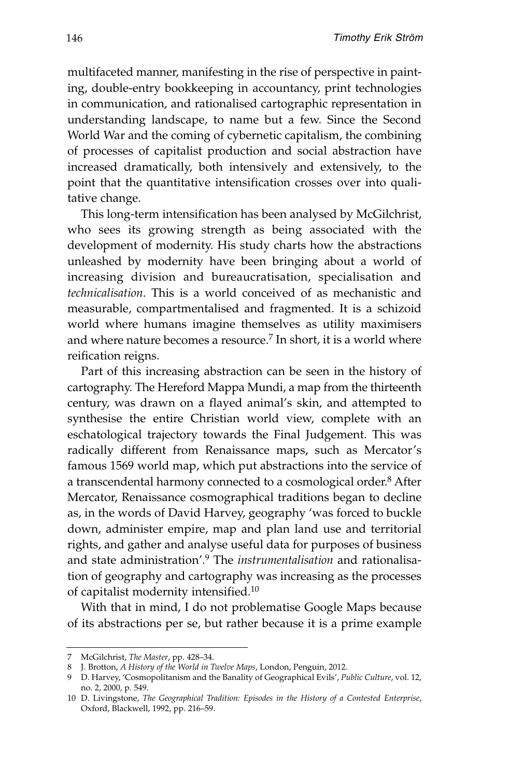multifaceted manner, manifesting in the rise of perspective in painting, double-entry bookkeeping in accountancy, print technologies in communication, and rationalised cartographic representation in understanding landscape, to name but a few. Since the Second World War and the coming of cybernetic capitalism, the combining of processes of capitalist production and social abstraction have increased dramatically, both intensively and extensively, to the point that the quantitative intensification crosses over into qualitative change.

This long-term intensification has been analysed by McGilchrist, who sees its growing strength as being associated with the development of modernity. His study charts how the abstractions unleashed by modernity have been bringing about a world of increasing division and bureaucratisation, specialisation and *technicalisation*. This is a world conceived of as mechanistic and measurable, compartmentalised and fragmented. It is a schizoid world where humans imagine themselves as utility maximisers and where nature becomes a resource.<sup>7</sup> In short, it is a world where reification reigns.

Part of this increasing abstraction can be seen in the history of cartography. The Hereford Mappa Mundi, a map from the thirteenth century, was drawn on a flayed animal's skin, and attempted to synthesise the entire Christian world view, complete with an eschatological trajectory towards the Final Judgement. This was radically different from Renaissance maps, such as Mercator's famous 1569 world map, which put abstractions into the service of a transcendental harmony connected to a cosmological order.<sup>8</sup> After Mercator, Renaissance cosmographical traditions began to decline as, in the words of David Harvey, geography 'was forced to buckle down, administer empire, map and plan land use and territorial rights, and gather and analyse useful data for purposes of business and state administration'.<sup>9</sup> The *instrumentalisation* and rationalisation of geography and cartography was increasing as the processes of capitalist modernity intensified.10

With that in mind, I do not problematise Google Maps because of its abstractions per se, but rather because it is a prime example

<sup>7</sup> McGilchrist, *The Master*, pp. 428–34.

<sup>8</sup> J. Brotton, *A History of the World in Twelve Maps*, London, Penguin, 2012.

<sup>9</sup> D. Harvey, 'Cosmopolitanism and the Banality of Geographical Evils', *Public Culture*, vol. 12, no. 2, 2000, p. 549.

<sup>10</sup> D. Livingstone, *The Geographical Tradition: Episodes in the History of a Contested Enterprise*, Oxford, Blackwell, 1992, pp. 216–59.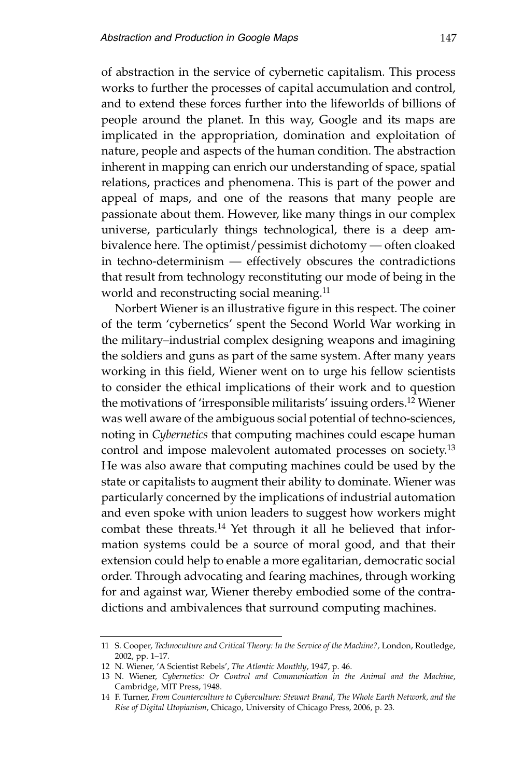of abstraction in the service of cybernetic capitalism. This process works to further the processes of capital accumulation and control, and to extend these forces further into the lifeworlds of billions of people around the planet. In this way, Google and its maps are implicated in the appropriation, domination and exploitation of nature, people and aspects of the human condition. The abstraction inherent in mapping can enrich our understanding of space, spatial relations, practices and phenomena. This is part of the power and appeal of maps, and one of the reasons that many people are passionate about them. However, like many things in our complex universe, particularly things technological, there is a deep ambivalence here. The optimist/pessimist dichotomy — often cloaked in techno-determinism — effectively obscures the contradictions that result from technology reconstituting our mode of being in the world and reconstructing social meaning.<sup>11</sup>

Norbert Wiener is an illustrative figure in this respect. The coiner of the term 'cybernetics' spent the Second World War working in the military–industrial complex designing weapons and imagining the soldiers and guns as part of the same system. After many years working in this field, Wiener went on to urge his fellow scientists to consider the ethical implications of their work and to question the motivations of 'irresponsible militarists' issuing orders.12 Wiener was well aware of the ambiguous social potential of techno-sciences, noting in *Cybernetics* that computing machines could escape human control and impose malevolent automated processes on society.13 He was also aware that computing machines could be used by the state or capitalists to augment their ability to dominate. Wiener was particularly concerned by the implications of industrial automation and even spoke with union leaders to suggest how workers might combat these threats.<sup>14</sup> Yet through it all he believed that information systems could be a source of moral good, and that their extension could help to enable a more egalitarian, democratic social order. Through advocating and fearing machines, through working for and against war, Wiener thereby embodied some of the contradictions and ambivalences that surround computing machines.

<sup>11</sup> S. Cooper, *Technoculture and Critical Theory: In the Service of the Machine?,* London, Routledge, 2002, pp. 1–17.

<sup>12</sup> N. Wiener, 'A Scientist Rebels', *The Atlantic Monthly*, 1947, p. 46.

<sup>13</sup> N. Wiener, *Cybernetics: Or Control and Communication in the Animal and the Machine*, Cambridge, MIT Press, 1948.

<sup>14</sup> F. Turner, *From Counterculture to Cyberculture: Stewart Brand, The Whole Earth Network, and the Rise of Digital Utopianism*, Chicago, University of Chicago Press, 2006, p. 23.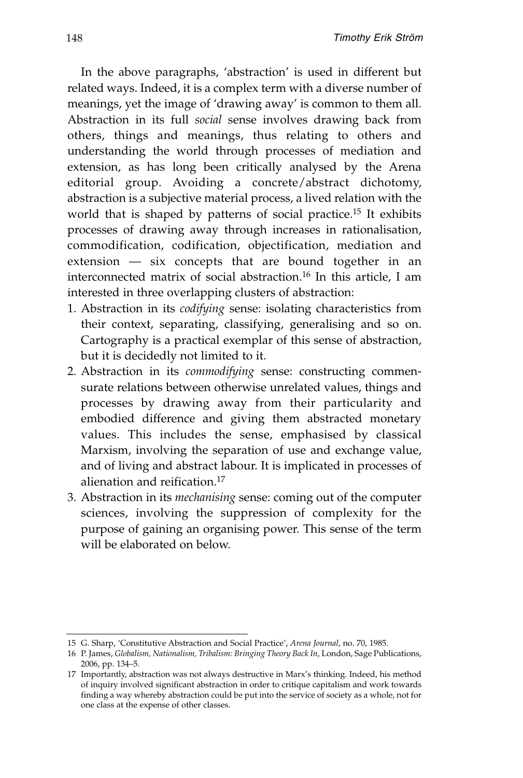In the above paragraphs, 'abstraction' is used in different but related ways. Indeed, it is a complex term with a diverse number of meanings, yet the image of 'drawing away' is common to them all. Abstraction in its full *social* sense involves drawing back from others, things and meanings, thus relating to others and understanding the world through processes of mediation and extension, as has long been critically analysed by the Arena editorial group. Avoiding a concrete/abstract dichotomy, abstraction is a subjective material process, a lived relation with the world that is shaped by patterns of social practice.15 It exhibits processes of drawing away through increases in rationalisation, commodification, codification, objectification, mediation and extension — six concepts that are bound together in an interconnected matrix of social abstraction.16 In this article, I am interested in three overlapping clusters of abstraction:

- 1. Abstraction in its *codifying* sense: isolating characteristics from their context, separating, classifying, generalising and so on. Cartography is a practical exemplar of this sense of abstraction, but it is decidedly not limited to it.
- 2. Abstraction in its *commodifying* sense: constructing commensurate relations between otherwise unrelated values, things and processes by drawing away from their particularity and embodied difference and giving them abstracted monetary values. This includes the sense, emphasised by classical Marxism, involving the separation of use and exchange value, and of living and abstract labour. It is implicated in processes of alienation and reification.17
- 3. Abstraction in its *mechanising* sense: coming out of the computer sciences, involving the suppression of complexity for the purpose of gaining an organising power. This sense of the term will be elaborated on below.

<sup>15</sup> G. Sharp, 'Constitutive Abstraction and Social Practice', *Arena Journal*, no. 70, 1985.

<sup>16</sup> P. James, *Globalism, Nationalism, Tribalism: Bringing Theory Back In*, London, Sage Publications, 2006, pp. 134–5.

<sup>17</sup> Importantly, abstraction was not always destructive in Marx's thinking. Indeed, his method of inquiry involved significant abstraction in order to critique capitalism and work towards finding a way whereby abstraction could be put into the service of society as a whole, not for one class at the expense of other classes.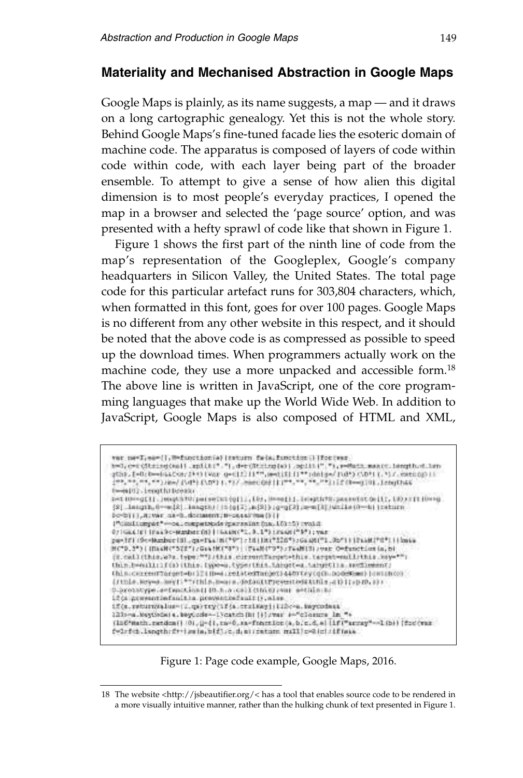#### **Materiality and Mechanised Abstraction in Google Maps**

Google Maps is plainly, as its name suggests, a map — and it draws on a long cartographic genealogy. Yet this is not the whole story. Behind Google Maps's fine-tuned facade lies the esoteric domain of machine code. The apparatus is composed of layers of code within code within code, with each layer being part of the broader ensemble. To attempt to give a sense of how alien this digital dimension is to most people's everyday practices, I opened the map in a browser and selected the 'page source' option, and was presented with a hefty sprawl of code like that shown in Figure 1.

Figure 1 shows the first part of the ninth line of code from the map's representation of the Googleplex, Google's company headquarters in Silicon Valley, the United States. The total page code for this particular artefact runs for 303,804 characters, which, when formatted in this font, goes for over 100 pages. Google Maps is no different from any other website in this respect, and it should be noted that the above code is as compressed as possible to speed up the download times. When programmers actually work on the machine code, they use a more unpacked and accessible form.<sup>18</sup> The above line is written in JavaScript, one of the core programming languages that make up the World Wide Web. In addition to JavaScript, Google Maps is also composed of HTML and XML,

```
ver newTies={1,00function(a) (naturn fa}a,function()]for(ver)
h=0,c=cQtzing(nal).rp3(h:"."),d=cQtzing(a)).opiiii"."),r=Mass.maxcclingth=Lin
gth). [=0:0=44400:2} 0 [Var g=01] [1", s=01] [1" (deig=/102) C/D/17. (croppii)
 [09, 09, 09, 09] Hend (549) (549) (79) (79) mancing (1109, 09, 09, 09) (2010) (80-410). Interfluit
t-espi), Lengthitudeaux
s=100=gCl1.10040370(pa(seCut(q1)1.103.00=a1)1.10040270(paceofSt0=11).000371100=g<br>{2} langth,0==12} langth/(2-012;a)2}} (q=gC2).0==11})/wilas0==11 (catura
Do-Dijij, Alivan, da-B., document; B-cappalitan () {}
 ("Gasificampar" = 04. competitions spaces share fran. 103:15) twohit
071644101104490-90000000001164480001.0.1%) (2640001%) ; yes
pay (F) (Seekenber (S), que Taa (R(*97); (H) (R(*526*); Gautiff), Se*) ((Fast)*0*) (| lanks<br>R(*9, 3*) (H) (R) (*572*); Gaa (R) (*9*) (Fast) (*9*); Fast((3); vor. Oefunction (s. 5)
 (E.califthis, 27s.type:""idthis.cirrentTarget=this.target=willthis.xay="")
thin.b=nill:1f(a)ithin.type=a.type=thin.thhpt=a.tahyetila.avcdbmmnt.
this concentracent-brilling relatedtacents atorcyce(h.podeRams) hominos
(JUDIA.Reyna.Reyl:""/this.boxis.defaultrycymicditible.at) (1910.0) :
0.prototype.a=fanction() (0.0.a.co) (chick) (var a=tiln:0.
if (a presentialazione preventialazione), also
if(s.return)alus-(1.qs)try(1f(s.tzikky)(libo-a.keycodess
223-ca.keytoda) a. keytoda -- 1 ycatch (h) (+) /war +-"closure in "+
 (Infrach.netdox() (0), (j-{1, m-0, sa-fraction(a, b, c, d, a) lif("array"--1(b)) (foo(var
f=1rfcb.langth:ft+ismin.b{fl;c.d.miriation:mill=@ici/iffmia
```
Figure 1: Page code example, Google Maps, 2016.

<sup>18</sup> The website  $\langle$ http://jsbeautifier.org/ $\langle$  has a tool that enables source code to be rendered in a more visually intuitive manner, rather than the hulking chunk of text presented in Figure 1.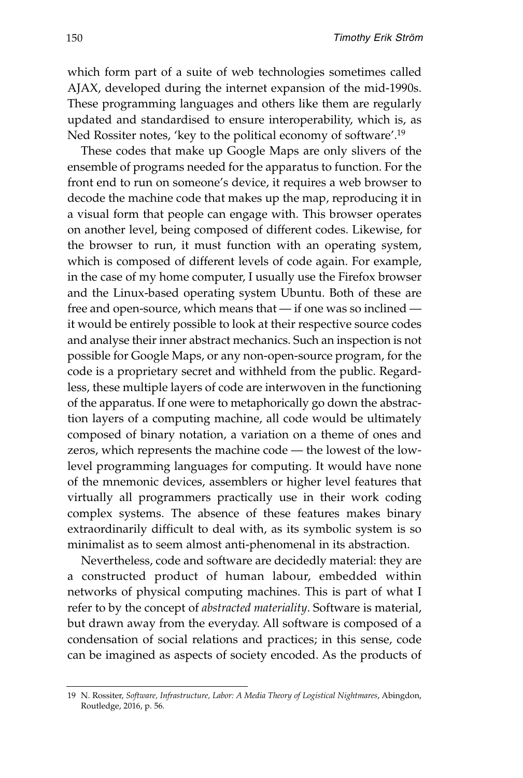which form part of a suite of web technologies sometimes called AJAX, developed during the internet expansion of the mid-1990s. These programming languages and others like them are regularly updated and standardised to ensure interoperability, which is, as Ned Rossiter notes, 'key to the political economy of software'.19

These codes that make up Google Maps are only slivers of the ensemble of programs needed for the apparatus to function. For the front end to run on someone's device, it requires a web browser to decode the machine code that makes up the map, reproducing it in a visual form that people can engage with. This browser operates on another level, being composed of different codes. Likewise, for the browser to run, it must function with an operating system, which is composed of different levels of code again. For example, in the case of my home computer, I usually use the Firefox browser and the Linux-based operating system Ubuntu. Both of these are free and open-source, which means that — if one was so inclined it would be entirely possible to look at their respective source codes and analyse their inner abstract mechanics. Such an inspection is not possible for Google Maps, or any non-open-source program, for the code is a proprietary secret and withheld from the public. Regardless, these multiple layers of code are interwoven in the functioning of the apparatus. If one were to metaphorically go down the abstrac tion layers of a computing machine, all code would be ultimately composed of binary notation, a variation on a theme of ones and zeros, which represents the machine code — the lowest of the lowlevel programming languages for computing. It would have none of the mnemonic devices, assemblers or higher level features that virtually all programmers practically use in their work coding complex systems. The absence of these features makes binary extraordinarily difficult to deal with, as its symbolic system is so minimalist as to seem almost anti-phenomenal in its abstraction.

Nevertheless, code and software are decidedly material: they are a constructed product of human labour, embedded within networks of physical computing machines. This is part of what I refer to by the concept of *abstracted materiality*. Software is material, but drawn away from the everyday. All software is composed of a condensation of social relations and practices; in this sense, code can be imagined as aspects of society encoded. As the products of

<sup>19</sup> N. Rossiter, *Software, Infrastructure, Labor: A Media Theory of Logistical Nightmares*, Abingdon, Routledge, 2016, p. 56.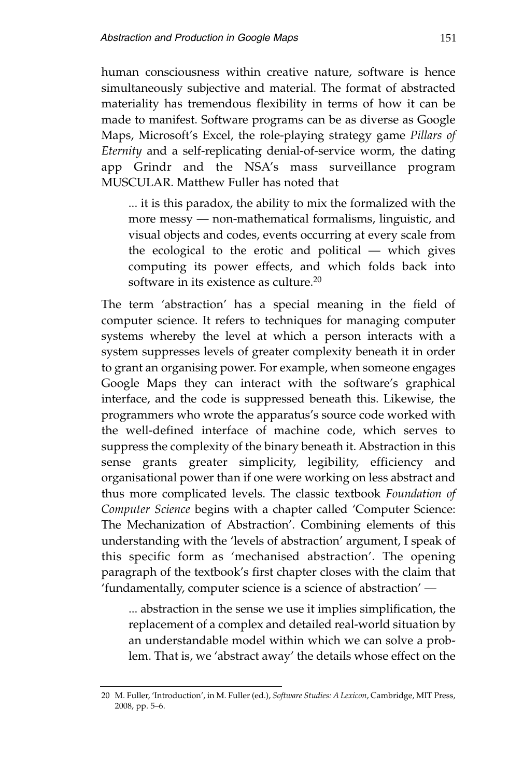human consciousness within creative nature, software is hence simultaneously subjective and material. The format of abstracted materiality has tremendous flexibility in terms of how it can be made to manifest. Software programs can be as diverse as Google Maps, Microsoft's Excel, the role-playing strategy game *Pillars of Eternity* and a self-replicating denial-of-service worm, the dating app Grindr and the NSA's mass surveillance program MUSCULAR. Matthew Fuller has noted that

... it is this paradox, the ability to mix the formalized with the more messy — non-mathematical formalisms, linguistic, and visual objects and codes, events occurring at every scale from the ecological to the erotic and political — which gives computing its power effects, and which folds back into software in its existence as culture.20

The term 'abstraction' has a special meaning in the field of computer science. It refers to techniques for managing computer systems whereby the level at which a person interacts with a system suppresses levels of greater complexity beneath it in order to grant an organising power. For example, when someone engages Google Maps they can interact with the software's graphical interface, and the code is suppressed beneath this. Likewise, the programmers who wrote the apparatus's source code worked with the well-defined interface of machine code, which serves to suppress the complexity of the binary beneath it. Abstraction in this sense grants greater simplicity, legibility, efficiency and organisational power than if one were working on less abstract and thus more com plicated levels. The classic textbook *Foundation of Computer Science* begins with a chapter called 'Computer Science: The Mechanization of Abstraction'. Combining elements of this understanding with the 'levels of abstraction' argument, I speak of this specific form as 'mechanised abstraction'. The opening paragraph of the textbook's first chapter closes with the claim that 'fundamentally, computer science is a science of abstraction' —

... abstraction in the sense we use it implies simplification, the replacement of a complex and detailed real-world situation by an understandable model within which we can solve a problem. That is, we 'abstract away' the details whose effect on the

<sup>20</sup> M. Fuller, 'Introduction', in M. Fuller (ed.), *Software Studies: A Lexicon*, Cambridge, MIT Press, 2008, pp. 5–6.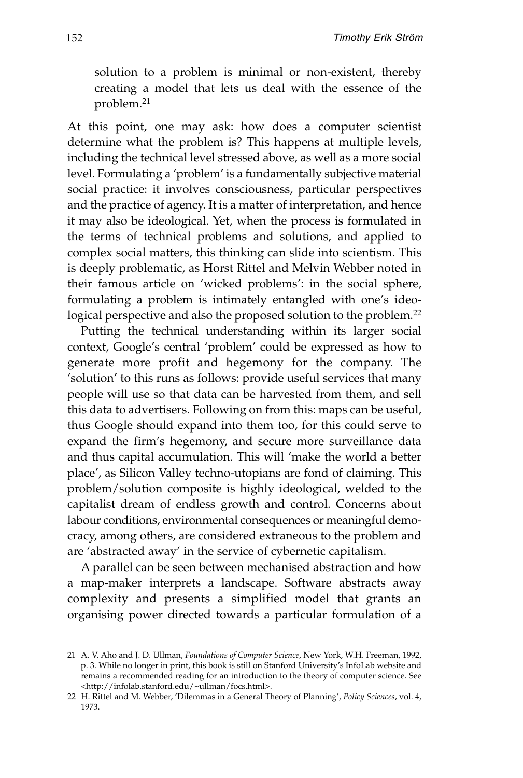solution to a problem is minimal or non-existent, thereby creating a model that lets us deal with the essence of the problem.21

At this point, one may ask: how does a computer scientist determine what the problem is? This happens at multiple levels, including the technical level stressed above, as well as a more social level. Formulating a 'problem' is a fundamentally subjective material social practice: it involves consciousness, particular perspectives and the practice of agency. It is a matter of interpretation, and hence it may also be ideological. Yet, when the process is formulated in the terms of technical problems and solutions, and applied to complex social matters, this thinking can slide into scientism. This is deeply problematic, as Horst Rittel and Melvin Webber noted in their famous article on 'wicked problems': in the social sphere, formulating a problem is intimately entangled with one's ideological perspective and also the proposed solution to the problem.<sup>22</sup>

Putting the technical understanding within its larger social context, Google's central 'problem' could be expressed as how to generate more profit and hegemony for the company. The 'solution' to this runs as follows: provide useful services that many people will use so that data can be harvested from them, and sell this data to advertisers. Following on from this: maps can be useful, thus Google should expand into them too, for this could serve to expand the firm's hegemony, and secure more surveillance data and thus capital accumulation. This will 'make the world a better place', as Silicon Valley techno-utopians are fond of claiming. This problem/solution composite is highly ideological, welded to the capitalist dream of endless growth and control. Concerns about labour conditions, environmental consequences or meaningful democracy, among others, are considered extraneous to the problem and are 'abstracted away' in the service of cybernetic capitalism.

A parallel can be seen between mechanised abstraction and how a map-maker interprets a landscape. Software abstracts away complexity and presents a simplified model that grants an organising power directed towards a particular formulation of a

<sup>21</sup> A. V. Aho and J. D. Ullman, *Foundations of Computer Science*, New York, W.H. Freeman, 1992, p. 3. While no longer in print, this book is still on Stanford University's InfoLab website and remains a recommended reading for an introduction to the theory of computer science. See <http://infolab.stanford.edu/~ullman/focs.html>.

<sup>22</sup> H. Rittel and M. Webber, 'Dilemmas in a General Theory of Planning', *Policy Sciences*, vol. 4, 1973.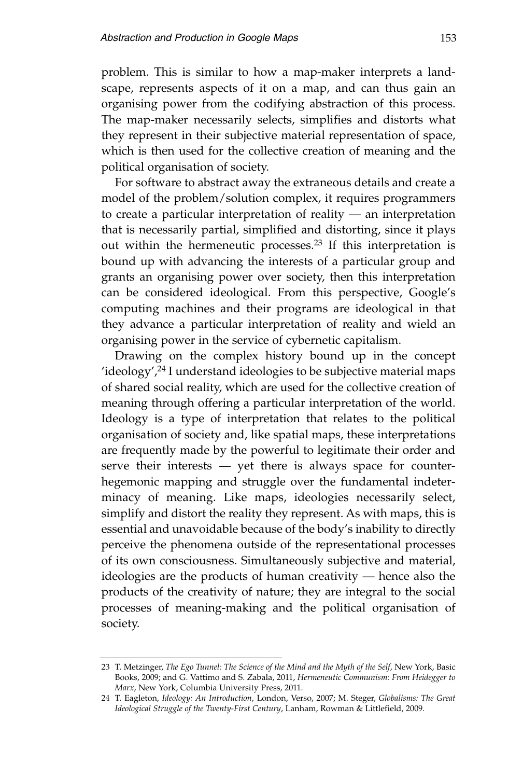problem. This is similar to how a map-maker interprets a landscape, represents aspects of it on a map, and can thus gain an organising power from the codifying abstraction of this process. The map-maker necessarily selects, simplifies and distorts what they represent in their subjective material representation of space, which is then used for the collective creation of meaning and the political organisation of society.

For software to abstract away the extraneous details and create a model of the problem/solution complex, it requires programmers to create a particular interpretation of reality — an interpretation that is necessarily partial, simplified and distorting, since it plays out within the hermeneutic processes.23 If this interpretation is bound up with advancing the interests of a particular group and grants an organising power over society, then this interpretation can be considered ideological. From this perspective, Google's computing machines and their programs are ideological in that they advance a particular interpretation of reality and wield an organising power in the service of cybernetic capitalism.

Drawing on the complex history bound up in the concept 'ideology', $24$  I understand ideologies to be subjective material maps of shared social reality, which are used for the collective creation of meaning through offering a particular interpretation of the world. Ideology is a type of interpretation that relates to the political organisation of society and, like spatial maps, these interpretations are frequently made by the powerful to legitimate their order and serve their interests — yet there is always space for counterhegemonic mapping and struggle over the fundamental indeterminacy of meaning. Like maps, ideologies necessarily select, simplify and distort the reality they represent. As with maps, this is essential and unavoidable because of the body's inability to directly perceive the phenomena outside of the representational processes of its own consciousness. Simultaneously subjective and material, ideologies are the products of human creativity — hence also the products of the creativity of nature; they are integral to the social processes of meaning-making and the political organisation of society.

<sup>23</sup> T. Metzinger, *The Ego Tunnel: The Science of the Mind and the Myth of the Self*, New York, Basic Books, 2009; and G. Vattimo and S. Zabala, 2011, *Hermeneutic Communism: From Heidegger to Marx*, New York, Columbia University Press, 2011.

<sup>24</sup> T. Eagleton, *Ideology: An Introduction*, London, Verso, 2007; M. Steger, *Globalisms: The Great Ideological Struggle of the Twenty-First Century*, Lanham, Rowman & Littlefield, 2009.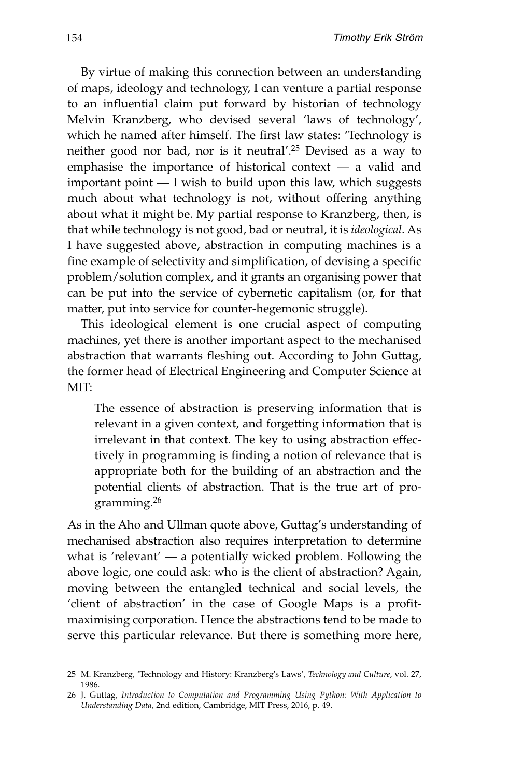By virtue of making this connection between an understanding of maps, ideology and technology, I can venture a partial response to an influential claim put forward by historian of technology Melvin Kranzberg, who devised several 'laws of technology', which he named after himself. The first law states: 'Technology is neither good nor bad, nor is it neutral'.25 Devised as a way to emphasise the importance of historical context  $-$  a valid and important point — I wish to build upon this law, which suggests much about what technology is not, without offering anything about what it might be. My partial response to Kranzberg, then, is that while technology is not good, bad or neutral, it is *ideological*. As I have suggested above, abstraction in computing machines is a fine example of selectivity and simplification, of devising a specific problem/solution complex, and it grants an organising power that can be put into the service of cybernetic capitalism (or, for that matter, put into service for counter-hegemonic struggle).

This ideological element is one crucial aspect of computing machines, yet there is another important aspect to the mechanised abstraction that warrants fleshing out. According to John Guttag, the former head of Electrical Engineering and Computer Science at  $MT<sup>1</sup>$ 

The essence of abstraction is preserving information that is relevant in a given context, and forgetting information that is irrelevant in that context. The key to using abstraction effectively in programming is finding a notion of relevance that is appropriate both for the building of an abstraction and the potential clients of abstraction. That is the true art of programming.26

As in the Aho and Ullman quote above, Guttag's understanding of mechanised abstraction also requires interpretation to determine what is 'relevant' — a potentially wicked problem. Following the above logic, one could ask: who is the client of abstraction? Again, moving between the entangled technical and social levels, the 'client of abstraction' in the case of Google Maps is a profitmaximising corporation. Hence the abstractions tend to be made to serve this particular relevance. But there is something more here,

<sup>25</sup> M. Kranzberg, 'Technology and History: Kranzberg's Laws', *Technology and Culture*, vol. 27, 1986.

<sup>26</sup> J. Guttag, *Introduction to Computation and Programming Using Python: With Application to Understanding Data*, 2nd edition, Cambridge, MIT Press, 2016, p. 49.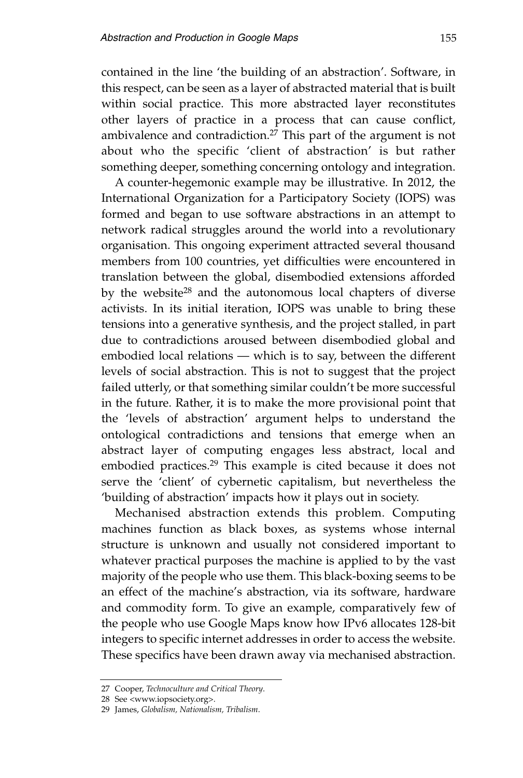contained in the line 'the building of an abstraction'. Software, in this respect, can be seen as a layer of abstracted material that is built within social practice. This more abstracted layer reconstitutes other layers of practice in a process that can cause conflict, ambivalence and contradiction.27 This part of the argument is not about who the specific 'client of abstraction' is but rather something deeper, something concerning ontology and integration.

A counter-hegemonic example may be illustrative. In 2012, the International Organization for a Participatory Society (IOPS) was formed and began to use software abstractions in an attempt to network radical struggles around the world into a revolutionary organisation. This ongoing experiment attracted several thousand members from 100 countries, yet difficulties were encountered in translation between the global, disembodied extensions afforded by the website<sup>28</sup> and the autonomous local chapters of diverse activists. In its initial iteration, IOPS was unable to bring these tensions into a generative synthesis, and the project stalled, in part due to contradictions aroused between disembodied global and embodied local relations — which is to say, between the different levels of social abstraction. This is not to suggest that the project failed utterly, or that something similar couldn't be more successful in the future. Rather, it is to make the more provisional point that the 'levels of abstraction' argument helps to understand the ontological contradictions and tensions that emerge when an abstract layer of computing engages less abstract, local and embodied practices.29 This example is cited because it does not serve the 'client' of cybernetic capitalism, but nevertheless the 'building of abstraction' impacts how it plays out in society.

Mechanised abstraction extends this problem. Computing machines function as black boxes, as systems whose internal structure is unknown and usually not considered important to whatever practical purposes the machine is applied to by the vast majority of the people who use them. This black-boxing seems to be an effect of the machine's abstraction, via its software, hardware and commodity form. To give an example, comparatively few of the people who use Google Maps know how IPv6 allocates 128-bit integers to specific internet addresses in order to access the website. These specifics have been drawn away via mechanised abstraction.

<sup>27</sup> Cooper, *Technoculture and Critical Theory*.

<sup>28</sup> See <www.iopsociety.org>.

<sup>29</sup> James, *Globalism, Nationalism, Tribalism*.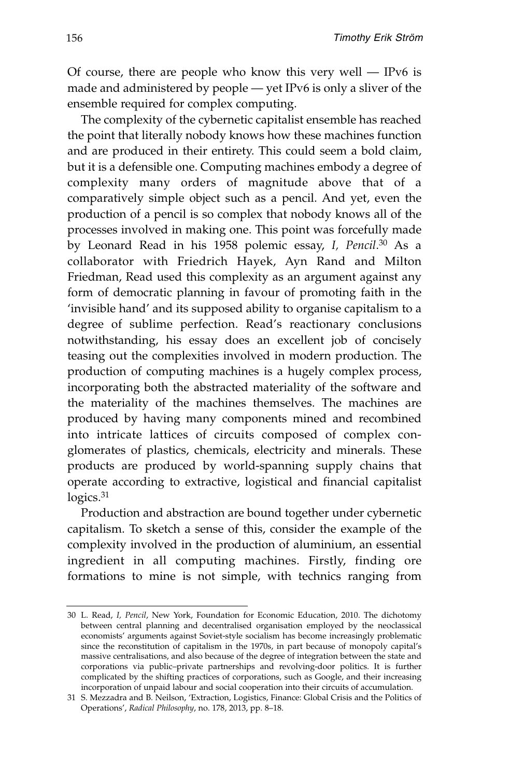Of course, there are people who know this very well  $-$  IPv6 is made and administered by people — yet IPv6 is only a sliver of the ensemble required for complex computing.

The complexity of the cybernetic capitalist ensemble has reached the point that literally nobody knows how these machines function and are produced in their entirety. This could seem a bold claim, but it is a defensible one. Computing machines embody a degree of complexity many orders of magnitude above that of a comparatively simple object such as a pencil. And yet, even the production of a pencil is so complex that nobody knows all of the processes involved in making one. This point was forcefully made by Leonard Read in his 1958 polemic essay, *I, Pencil*. <sup>30</sup> As a collaborator with Friedrich Hayek, Ayn Rand and Milton Friedman, Read used this complexity as an argument against any form of democratic planning in favour of promoting faith in the 'invisible hand' and its supposed ability to organise capitalism to a degree of sublime perfection. Read's reactionary conclusions notwithstanding, his essay does an excellent job of concisely teasing out the complexities involved in modern production. The production of computing machines is a hugely complex process, incorporating both the abstracted materiality of the software and the materiality of the machines themselves. The machines are produced by having many components mined and recombined into intricate lattices of circuits composed of complex conglomerates of plastics, chemicals, electricity and minerals. These products are produced by world-spanning supply chains that operate according to extractive, logistical and financial capitalist logics.<sup>31</sup>

Production and abstraction are bound together under cybernetic capitalism. To sketch a sense of this, consider the example of the complexity involved in the production of aluminium, an essential ingredient in all computing machines. Firstly, finding ore formations to mine is not simple, with technics ranging from

<sup>30</sup> L. Read, *I, Pencil*, New York, Foundation for Economic Education, 2010. The dichotomy between central planning and decentralised organisation employed by the neoclassical economists' arguments against Soviet-style socialism has become increasingly problematic since the reconstitution of capitalism in the 1970s, in part because of monopoly capital's massive centralisations, and also because of the degree of integration between the state and corporations via public–private partnerships and revolving-door politics. It is further complicated by the shifting practices of corporations, such as Google, and their increasing incorporation of unpaid labour and social cooperation into their circuits of accumulation.

<sup>31</sup> S. Mezzadra and B. Neilson, 'Extraction, Logistics, Finance: Global Crisis and the Politics of Operations', *Radical Philosophy*, no. 178, 2013, pp. 8–18.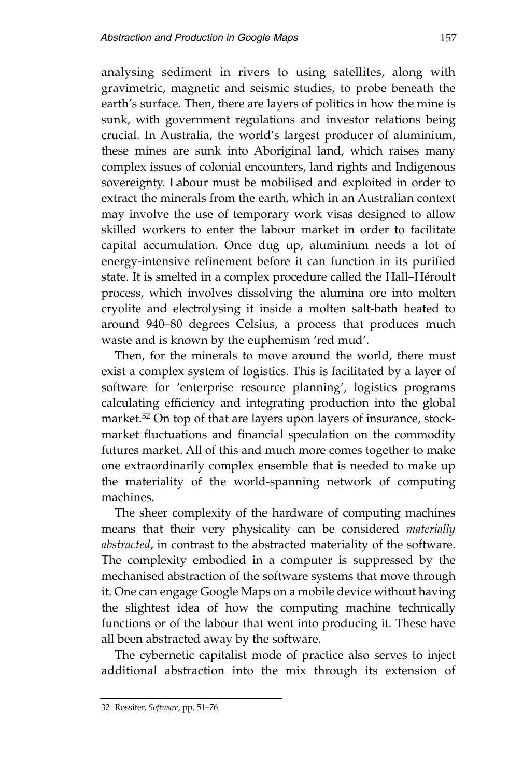analysing sediment in rivers to using satellites, along with gravimetric, magnetic and seismic studies, to probe beneath the earth's surface. Then, there are layers of politics in how the mine is sunk, with government regulations and investor relations being crucial. In Australia, the world's largest producer of aluminium, these mines are sunk into Aboriginal land, which raises many complex issues of colonial encounters, land rights and Indigenous sovereignty. Labour must be mobilised and exploited in order to extract the minerals from the earth, which in an Australian context may involve the use of temporary work visas designed to allow skilled workers to enter the labour market in order to facilitate capital accumulation. Once dug up, aluminium needs a lot of energy-intensive refinement before it can function in its purified state. It is smelted in a complex procedure called the Hall–Héroult process, which involves dissolving the alumina ore into molten cryolite and electrolysing it inside a molten salt-bath heated to around 940–80 degrees Celsius, a process that produces much waste and is known by the euphemism 'red mud'.

Then, for the minerals to move around the world, there must exist a complex system of logistics. This is facilitated by a layer of software for 'enterprise resource planning', logistics programs calculating efficiency and integrating production into the global market.<sup>32</sup> On top of that are layers upon layers of insurance, stockmarket fluctuations and financial speculation on the commodity futures market. All of this and much more comes together to make one extraordinarily complex ensemble that is needed to make up the materiality of the world-spanning network of computing machines.

The sheer complexity of the hardware of computing machines means that their very physicality can be considered *materially abstracted*, in contrast to the abstracted materiality of the software. The complexity embodied in a computer is suppressed by the mechanised abstraction of the software systems that move through it. One can engage Google Maps on a mobile device without having the slightest idea of how the computing machine technically functions or of the labour that went into producing it. These have all been abstracted away by the software.

The cybernetic capitalist mode of practice also serves to inject additional abstraction into the mix through its extension of

<sup>32</sup> Rossiter, *Software*, pp. 51–76.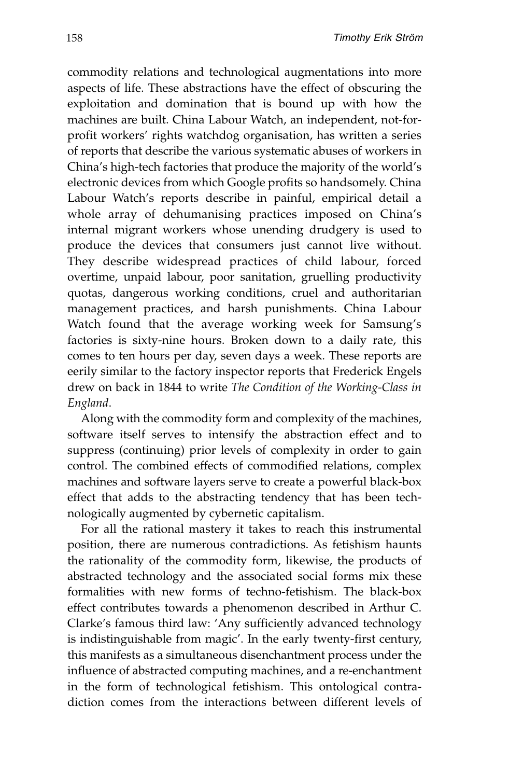commodity relations and technological augmentations into more aspects of life. These abstractions have the effect of obscuring the exploitation and domination that is bound up with how the machines are built. China Labour Watch, an independent, not-forprofit workers' rights watchdog organisation, has written a series of reports that describe the various systematic abuses of workers in China's high-tech factories that produce the majority of the world's electronic devices from which Google profits so handsomely. China Labour Watch's reports describe in painful, empirical detail a whole array of dehumanising practices imposed on China's internal migrant workers whose unending drudgery is used to produce the devices that consumers just cannot live without. They describe widespread practices of child labour, forced overtime, unpaid labour, poor sanitation, gruelling productivity quotas, dangerous working conditions, cruel and authoritarian manage ment practices, and harsh punishments. China Labour Watch found that the average working week for Samsung's factories is sixty-nine hours. Broken down to a daily rate, this comes to ten hours per day, seven days a week. These reports are eerily similar to the factory inspector reports that Frederick Engels drew on back in 1844 to write *The Condition of the Working-Class in England*.

Along with the commodity form and complexity of the machines, software itself serves to intensify the abstraction effect and to suppress (continuing) prior levels of complexity in order to gain control. The combined effects of commodified relations, complex machines and software layers serve to create a powerful black-box effect that adds to the abstracting tendency that has been technologically augmented by cybernetic capitalism.

For all the rational mastery it takes to reach this instrumental position, there are numerous contradictions. As fetishism haunts the rationality of the commodity form, likewise, the products of abstracted technology and the associated social forms mix these formalities with new forms of techno-fetishism. The black-box effect contributes towards a phenomenon described in Arthur C. Clarke's famous third law: 'Any sufficiently advanced technology is indistinguishable from magic'. In the early twenty-first century, this manifests as a simultaneous disenchantment process under the influence of abstracted computing machines, and a re-enchantment in the form of technological fetishism. This ontological contradiction comes from the interactions between different levels of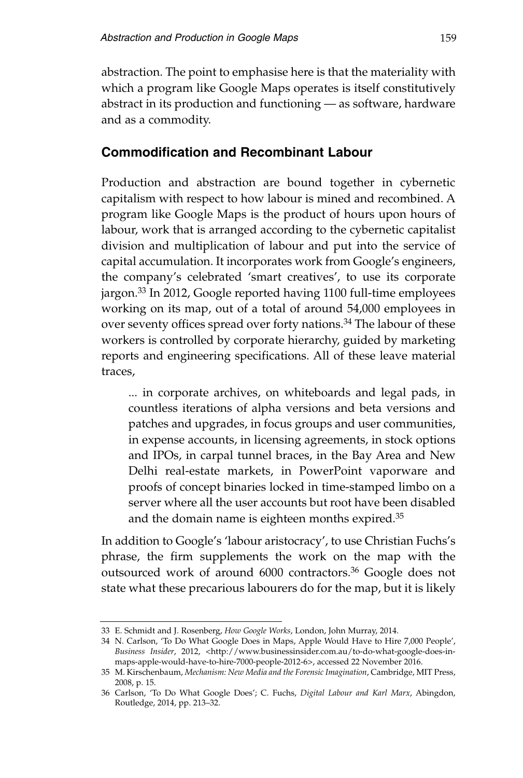abstraction. The point to emphasise here is that the materiality with which a program like Google Maps operates is itself constitutively abstract in its production and functioning — as software, hardware and as a commodity.

#### **Commodification and Recombinant Labour**

Production and abstraction are bound together in cybernetic capitalism with respect to how labour is mined and recombined. A program like Google Maps is the product of hours upon hours of labour, work that is arranged according to the cybernetic capitalist division and multiplication of labour and put into the service of capital accumulation. It incorporates work from Google's engineers, the company's celebrated 'smart creatives', to use its corporate jargon.33 In 2012, Google reported having 1100 full-time employees working on its map, out of a total of around 54,000 employees in over seventy offices spread over forty nations.<sup>34</sup> The labour of these workers is controlled by corporate hierarchy, guided by marketing reports and engineering specifications. All of these leave material traces,

... in corporate archives, on whiteboards and legal pads, in countless iterations of alpha versions and beta versions and patches and upgrades, in focus groups and user communities, in expense accounts, in licensing agreements, in stock options and IPOs, in carpal tunnel braces, in the Bay Area and New Delhi real-estate markets, in PowerPoint vaporware and proofs of concept binaries locked in time-stamped limbo on a server where all the user accounts but root have been disabled and the domain name is eighteen months expired.35

In addition to Google's 'labour aristocracy', to use Christian Fuchs's phrase, the firm supplements the work on the map with the outsourced work of around 6000 contractors.36 Google does not state what these precarious labourers do for the map, but it is likely

<sup>33</sup> E. Schmidt and J. Rosenberg, *How Google Works*, London, John Murray, 2014.

<sup>34</sup> N. Carlson, 'To Do What Google Does in Maps, Apple Would Have to Hire 7,000 People', *Business Insider*, 2012, <http://www.businessinsider.com.au/to-do-what-google-does-inmaps-apple-would-have-to-hire-7000-people-2012-6>, accessed 22 November 2016.

<sup>35</sup> M. Kirschenbaum, *Mechanism: New Media and the Forensic Imagination*, Cambridge, MIT Press, 2008, p. 15.

<sup>36</sup> Carlson, 'To Do What Google Does'; C. Fuchs, *Digital Labour and Karl Marx*, Abingdon, Routledge, 2014, pp. 213–32.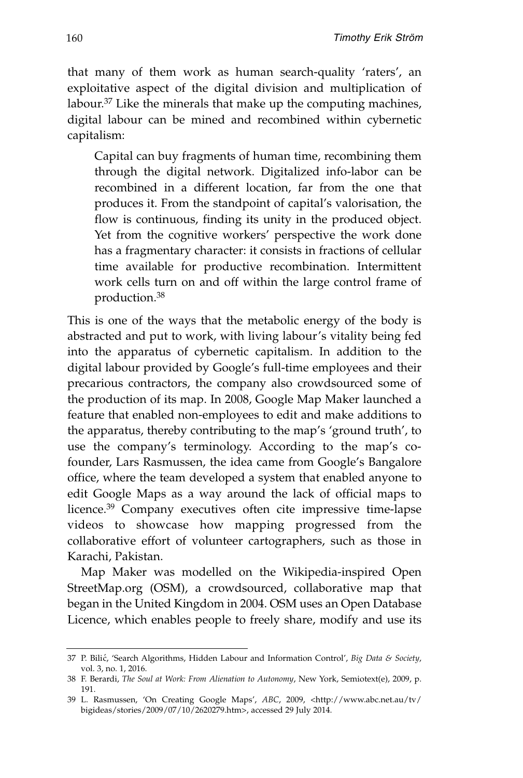that many of them work as human search-quality 'raters', an exploitative aspect of the digital division and multiplication of labour.37 Like the minerals that make up the computing machines, digital labour can be mined and recombined within cybernetic capitalism:

Capital can buy fragments of human time, recombining them through the digital network. Digitalized info-labor can be recombined in a different location, far from the one that produces it. From the standpoint of capital's valorisation, the flow is continuous, finding its unity in the produced object. Yet from the cognitive workers' perspective the work done has a fragmentary character: it consists in fractions of cellular time available for productive recombination. Intermittent work cells turn on and off within the large control frame of production.38

This is one of the ways that the metabolic energy of the body is abstracted and put to work, with living labour's vitality being fed into the apparatus of cybernetic capitalism. In addition to the digital labour provided by Google's full-time employees and their precarious contractors, the company also crowdsourced some of the production of its map. In 2008, Google Map Maker launched a feature that enabled non-employees to edit and make additions to the apparatus, thereby contributing to the map's 'ground truth', to use the company's terminology. According to the map's cofounder, Lars Rasmussen, the idea came from Google's Bangalore office, where the team developed a system that enabled anyone to edit Google Maps as a way around the lack of official maps to licence.39 Company executives often cite impressive time-lapse videos to showcase how mapping progressed from the collaborative effort of volunteer cartographers, such as those in Karachi, Pakistan.

Map Maker was modelled on the Wikipedia-inspired Open StreetMap.org (OSM), a crowdsourced, collaborative map that began in the United Kingdom in 2004. OSM uses an Open Database Licence, which enables people to freely share, modify and use its

<sup>37</sup> P. Bili´c, 'Search Algorithms, Hidden Labour and Information Control', *Big Data & Society*, vol. 3, no. 1, 2016.

<sup>38</sup> F. Berardi, *The Soul at Work: From Alienation to Autonomy*, New York, Semiotext(e), 2009, p. 191.

<sup>39</sup> L. Rasmussen, 'On Creating Google Maps', *ABC*, 2009, <http://www.abc.net.au/tv/ bigideas/stories/2009/07/10/2620279.htm>, accessed 29 July 2014.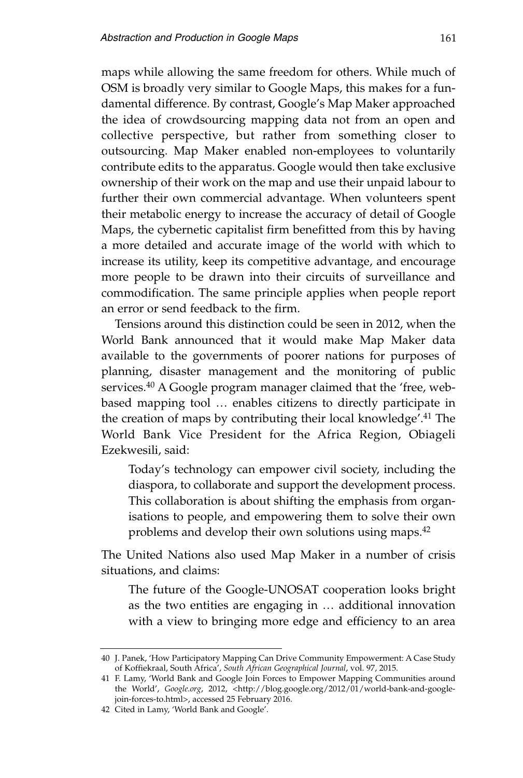maps while allowing the same freedom for others. While much of OSM is broadly very similar to Google Maps, this makes for a fundamental difference. By contrast, Google's Map Maker approached the idea of crowdsourcing mapping data not from an open and collective perspective, but rather from something closer to outsourcing. Map Maker enabled non-employees to voluntarily contribute edits to the apparatus. Google would then take exclusive ownership of their work on the map and use their unpaid labour to further their own commercial advantage. When volunteers spent their metabolic energy to increase the accuracy of detail of Google Maps, the cybernetic capitalist firm benefitted from this by having a more detailed and accurate image of the world with which to increase its utility, keep its competitive advantage, and encourage more people to be drawn into their circuits of surveillance and commodification. The same principle applies when people report an error or send feedback to the firm.

Tensions around this distinction could be seen in 2012, when the World Bank announced that it would make Map Maker data available to the governments of poorer nations for purposes of planning, disaster management and the monitoring of public services.<sup>40</sup> A Google program manager claimed that the 'free, webbased mapping tool … enables citizens to directly participate in the creation of maps by contributing their local knowledge'.41 The World Bank Vice President for the Africa Region, Obiageli Ezekwesili, said:

Today's technology can empower civil society, including the diaspora, to collaborate and support the development process. This collaboration is about shifting the emphasis from organisations to people, and empowering them to solve their own problems and develop their own solutions using maps.42

The United Nations also used Map Maker in a number of crisis situations, and claims:

The future of the Google-UNOSAT cooperation looks bright as the two entities are engaging in … additional innovation with a view to bringing more edge and efficiency to an area

<sup>40</sup> J. Panek, 'How Participatory Mapping Can Drive Community Empowerment: A Case Study of Koffiekraal, South Africa', *South African Geographical Journal*, vol. 97, 2015.

<sup>41</sup> F. Lamy, 'World Bank and Google Join Forces to Empower Mapping Communities around the World', *Google.org*, 2012, <http://blog.google.org/2012/01/world-bank-and-googlejoin-forces-to.html>, accessed 25 February 2016.

<sup>42</sup> Cited in Lamy, 'World Bank and Google'.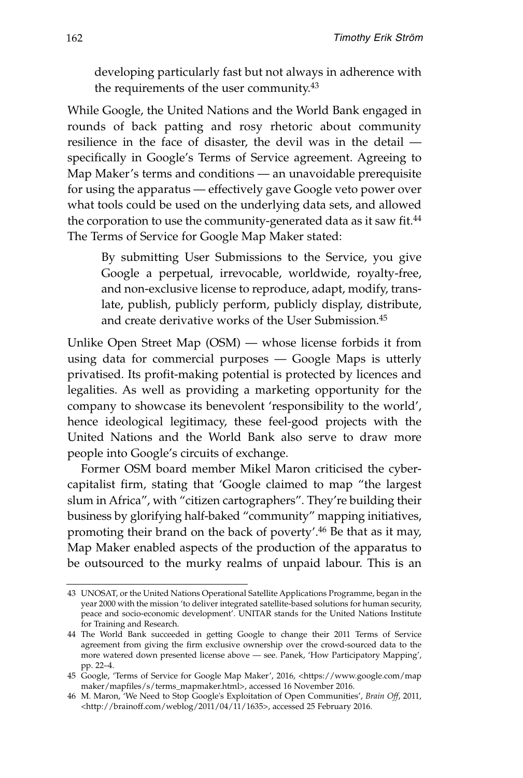developing particularly fast but not always in adherence with the requirements of the user community.43

While Google, the United Nations and the World Bank engaged in rounds of back patting and rosy rhetoric about community resilience in the face of disaster, the devil was in the detail specifically in Google's Terms of Service agreement. Agreeing to Map Maker's terms and conditions — an unavoidable prerequisite for using the apparatus — effectively gave Google veto power over what tools could be used on the underlying data sets, and allowed the corporation to use the community-generated data as it saw fit.<sup>44</sup> The Terms of Service for Google Map Maker stated:

By submitting User Submissions to the Service, you give Google a perpetual, irrevocable, worldwide, royalty-free, and non-exclusive license to reproduce, adapt, modify, translate, publish, publicly perform, publicly display, distribute, and create derivative works of the User Submission.45

Unlike Open Street Map (OSM) — whose license forbids it from using data for commercial purposes — Google Maps is utterly privatised. Its profit-making potential is protected by licences and legalities. As well as providing a marketing opportunity for the company to showcase its benevolent 'responsibility to the world', hence ideological legitimacy, these feel-good projects with the United Nations and the World Bank also serve to draw more people into Google's circuits of exchange.

Former OSM board member Mikel Maron criticised the cybercapitalist firm, stating that 'Google claimed to map "the largest slum in Africa", with "citizen cartographers". They're building their business by glorifying half-baked "community" mapping initiatives, promoting their brand on the back of poverty'.46 Be that as it may, Map Maker enabled aspects of the production of the apparatus to be outsourced to the murky realms of unpaid labour. This is an

<sup>43</sup> UNOSAT, or the United Nations Operational Satellite Applications Programme, began in the year 2000 with the mission 'to deliver integrated satellite-based solutions for human security, peace and socio-economic development'. UNITAR stands for the United Nations Institute for Training and Research.

<sup>44</sup> The World Bank succeeded in getting Google to change their 2011 Terms of Service agreement from giving the firm exclusive ownership over the crowd-sourced data to the more watered down presented license above — see. Panek, 'How Participatory Mapping', pp. 22–4.

<sup>45</sup> Google, 'Terms of Service for Google Map Maker', 2016, <https://www.google.com/map maker/mapfiles/s/terms\_mapmaker.html>, accessed 16 November 2016.

<sup>46</sup> M. Maron, 'We Need to Stop Google's Exploitation of Open Communities', *Brain Off*, 2011, <http://brainoff.com/weblog/2011/04/11/1635>, accessed 25 February 2016.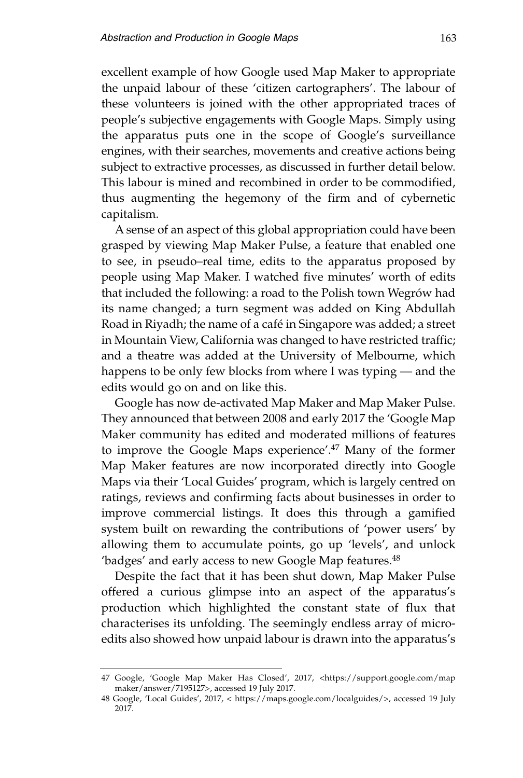excellent example of how Google used Map Maker to appropriate the unpaid labour of these 'citizen cartographers'. The labour of these volunteers is joined with the other appropriated traces of people's subjective engagements with Google Maps. Simply using the apparatus puts one in the scope of Google's surveillance engines, with their searches, movements and creative actions being subject to extractive processes, as discussed in further detail below. This labour is mined and recombined in order to be commodified, thus augmenting the hegemony of the firm and of cybernetic capitalism.

A sense of an aspect of this global appropriation could have been grasped by viewing Map Maker Pulse, a feature that enabled one to see, in pseudo–real time, edits to the apparatus proposed by people using Map Maker. I watched five minutes' worth of edits that included the following: a road to the Polish town Wegrów had its name changed; a turn segment was added on King Abdullah Road in Riyadh; the name of a café in Singapore was added; a street in Mountain View, California was changed to have restricted traffic; and a theatre was added at the University of Melbourne, which happens to be only few blocks from where I was typing — and the edits would go on and on like this.

Google has now de-activated Map Maker and Map Maker Pulse. They announced that between 2008 and early 2017 the 'Google Map Maker community has edited and moderated millions of features to improve the Google Maps experience'.47 Many of the former Map Maker features are now incorporated directly into Google Maps via their 'Local Guides' program, which is largely centred on ratings, reviews and confirming facts about businesses in order to improve commercial listings. It does this through a gamified system built on rewarding the contributions of 'power users' by allowing them to accumulate points, go up 'levels', and unlock 'badges' and early access to new Google Map features.<sup>48</sup>

Despite the fact that it has been shut down, Map Maker Pulse offered a curious glimpse into an aspect of the apparatus's production which highlighted the constant state of flux that characterises its unfolding. The seemingly endless array of microedits also showed how unpaid labour is drawn into the apparatus's

<sup>47</sup> Google, 'Google Map Maker Has Closed', 2017, <https://support.google.com/map maker/answer/7195127>, accessed 19 July 2017.

<sup>48</sup> Google, 'Local Guides', 2017, < https://maps.google.com/localguides/>, accessed 19 July 2017.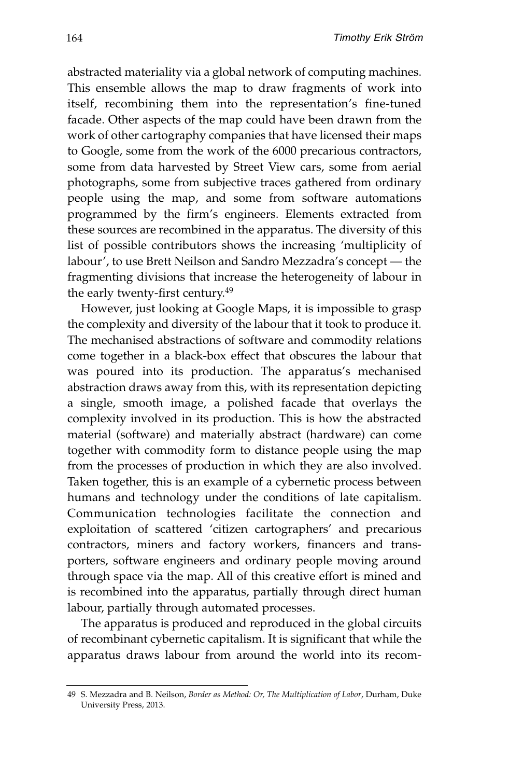abstracted materiality via a global network of computing machines. This ensemble allows the map to draw fragments of work into itself, recombining them into the representation's fine-tuned facade. Other aspects of the map could have been drawn from the work of other cartography companies that have licensed their maps to Google, some from the work of the 6000 precarious contractors, some from data harvested by Street View cars, some from aerial photographs, some from subjective traces gathered from ordinary people using the map, and some from software automations programmed by the firm's engineers. Elements extracted from these sources are recombined in the apparatus. The diversity of this list of possible contributors shows the increasing 'multiplicity of labour', to use Brett Neilson and Sandro Mezzadra's concept — the fragmenting divisions that increase the heterogeneity of labour in the early twenty-first century.<sup>49</sup>

However, just looking at Google Maps, it is impossible to grasp the complexity and diversity of the labour that it took to produce it. The mechanised abstractions of software and commodity relations come together in a black-box effect that obscures the labour that was poured into its production. The apparatus's mechanised abstraction draws away from this, with its representation depicting a single, smooth image, a polished facade that overlays the complexity involved in its production. This is how the abstracted material (software) and materially abstract (hardware) can come together with commodity form to distance people using the map from the processes of production in which they are also involved. Taken together, this is an example of a cybernetic process between humans and technology under the conditions of late capitalism. Communication technologies facilitate the connection and exploitation of scattered 'citizen cartographers' and precarious contractors, miners and factory workers, financers and transporters, software engineers and ordinary people moving around through space via the map. All of this creative effort is mined and is recombined into the apparatus, partially through direct human labour, partially through automated processes.

The apparatus is produced and reproduced in the global circuits of recombinant cybernetic capitalism. It is significant that while the apparatus draws labour from around the world into its recom-

<sup>49</sup> S. Mezzadra and B. Neilson, *Border as Method: Or, The Multiplication of Labor*, Durham, Duke University Press, 2013.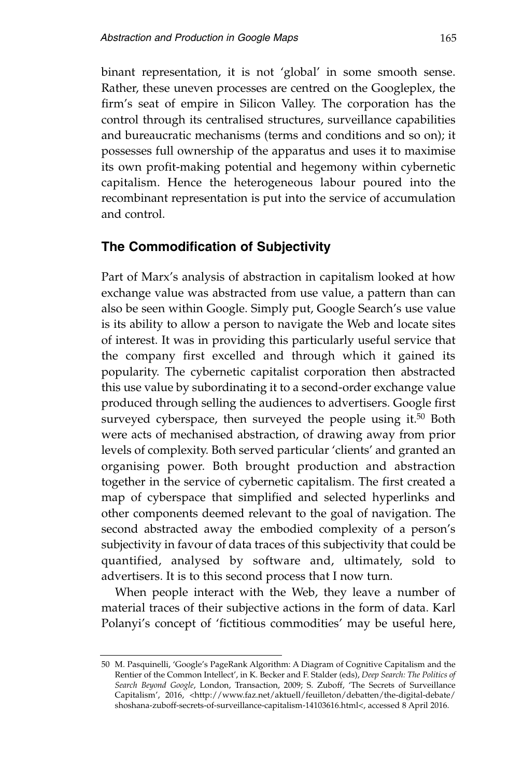binant representation, it is not 'global' in some smooth sense. Rather, these uneven processes are centred on the Googleplex, the firm's seat of empire in Silicon Valley. The corporation has the control through its centralised structures, surveillance capabilities and bureaucratic mechanisms (terms and conditions and so on); it possesses full ownership of the apparatus and uses it to maximise its own profit-making potential and hegemony within cybernetic capitalism. Hence the heterogeneous labour poured into the recombinant representation is put into the service of accumulation and control.

#### **The Commodification of Subjectivity**

Part of Marx's analysis of abstraction in capitalism looked at how exchange value was abstracted from use value, a pattern than can also be seen within Google. Simply put, Google Search's use value is its ability to allow a person to navigate the Web and locate sites of interest. It was in providing this particularly useful service that the company first excelled and through which it gained its popularity. The cybernetic capitalist corporation then abstracted this use value by subordinating it to a second-order exchange value produced through selling the audiences to advertisers. Google first surveyed cyberspace, then surveyed the people using it.<sup>50</sup> Both were acts of mechanised abstraction, of drawing away from prior levels of complexity. Both served particular 'clients' and granted an organising power. Both brought production and abstraction together in the service of cybernetic capitalism. The first created a map of cyberspace that simplified and selected hyperlinks and other components deemed relevant to the goal of navigation. The second abstracted away the embodied complexity of a person's subjectivity in favour of data traces of this subjectivity that could be quantified, analysed by software and, ultimately, sold to advertisers. It is to this second process that I now turn.

When people interact with the Web, they leave a number of material traces of their subjective actions in the form of data. Karl Polanyi's concept of 'fictitious commodities' may be useful here,

<sup>50</sup> M. Pasquinelli, 'Google's PageRank Algorithm: A Diagram of Cognitive Capitalism and the Rentier of the Common Intellect', in K. Becker and F. Stalder (eds), *Deep Search: The Politics of Search Beyond Google*, London, Transaction, 2009; S. Zuboff, 'The Secrets of Surveillance Capitalism', 2016, <http://www.faz.net/aktuell/feuilleton/debatten/the-digital-debate/ shoshana-zuboff-secrets-of-surveillance-capitalism-14103616.html<, accessed 8 April 2016.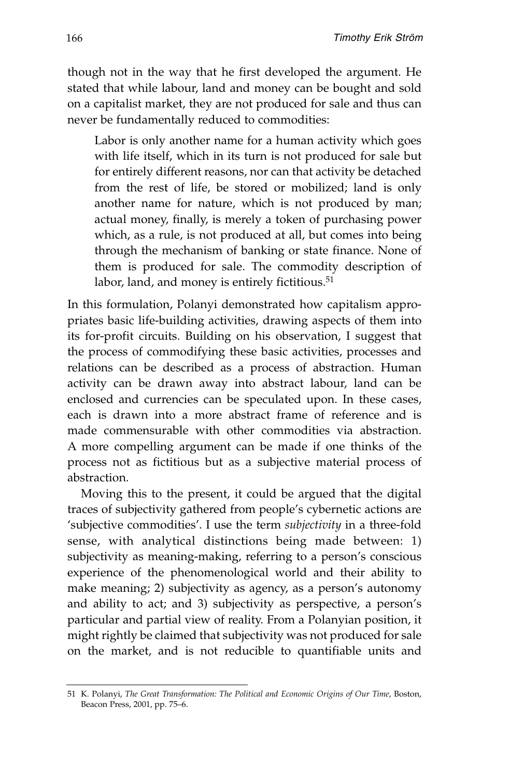though not in the way that he first developed the argument. He stated that while labour, land and money can be bought and sold on a capitalist market, they are not produced for sale and thus can never be fundamentally reduced to commodities:

Labor is only another name for a human activity which goes with life itself, which in its turn is not produced for sale but for entirely different reasons, nor can that activity be detached from the rest of life, be stored or mobilized; land is only another name for nature, which is not produced by man; actual money, finally, is merely a token of purchasing power which, as a rule, is not produced at all, but comes into being through the mechanism of banking or state finance. None of them is produced for sale. The commodity description of labor, land, and money is entirely fictitious.<sup>51</sup>

In this formulation, Polanyi demonstrated how capitalism appropriates basic life-building activities, drawing aspects of them into its for-profit circuits. Building on his observation, I suggest that the process of commodifying these basic activities, processes and relations can be described as a process of abstraction. Human activity can be drawn away into abstract labour, land can be enclosed and currencies can be speculated upon. In these cases, each is drawn into a more abstract frame of reference and is made commensurable with other commodities via abstraction. A more compelling argument can be made if one thinks of the process not as fictitious but as a subjective material process of abstraction.

Moving this to the present, it could be argued that the digital traces of subjectivity gathered from people's cybernetic actions are 'subjective commodities'. I use the term *subjectivity* in a three-fold sense, with analytical distinctions being made between: 1) subjectivity as meaning-making, referring to a person's conscious experience of the phenomenological world and their ability to make meaning; 2) subjectivity as agency, as a person's autonomy and ability to act; and 3) subjectivity as perspective, a person's particular and partial view of reality. From a Polanyian position, it might rightly be claimed that subjectivity was not produced for sale on the market, and is not reducible to quantifiable units and

<sup>51</sup> K. Polanyi, *The Great Transformation: The Political and Economic Origins of Our Time*, Boston, Beacon Press, 2001, pp. 75–6.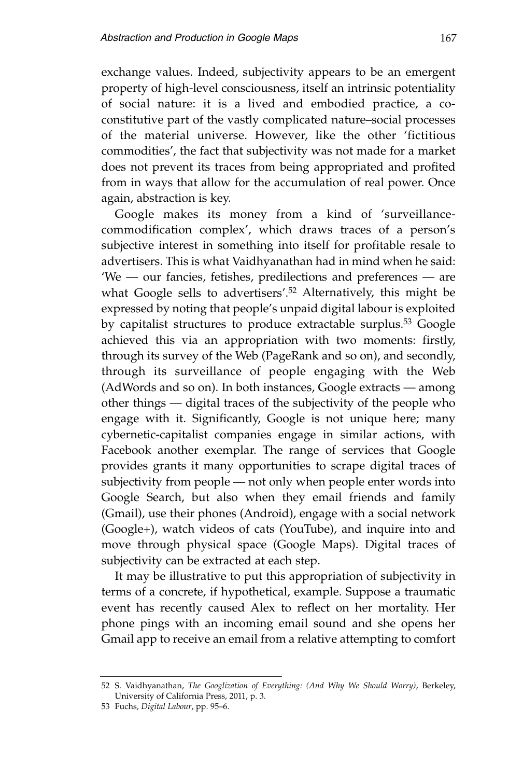exchange values. Indeed, subjectivity appears to be an emergent property of high-level consciousness, itself an intrinsic potentiality of social nature: it is a lived and embodied practice, a coconstitutive part of the vastly complicated nature–social processes of the material universe. However, like the other 'fictitious commodities', the fact that subjectivity was not made for a market does not prevent its traces from being appropriated and profited from in ways that allow for the accumulation of real power. Once again, abstraction is key.

Google makes its money from a kind of 'surveillancecommodification complex', which draws traces of a person's subjective interest in something into itself for profitable resale to advertisers. This is what Vaidhyanathan had in mind when he said: 'We — our fancies, fetishes, predilections and preferences — are what Google sells to advertisers'.<sup>52</sup> Alternatively, this might be expressed by noting that people's unpaid digital labour is exploited by capitalist structures to produce extractable surplus.53 Google achieved this via an appropriation with two moments: firstly, through its survey of the Web (PageRank and so on), and secondly, through its surveillance of people engaging with the Web (AdWords and so on). In both instances, Google extracts — among other things — digital traces of the subjectivity of the people who engage with it. Significantly, Google is not unique here; many cybernetic-capitalist companies engage in similar actions, with Facebook another exemplar. The range of services that Google provides grants it many opportunities to scrape digital traces of subjectivity from people — not only when people enter words into Google Search, but also when they email friends and family (Gmail), use their phones (Android), engage with a social network (Google+), watch videos of cats (YouTube), and inquire into and move through physical space (Google Maps). Digital traces of subjectivity can be extracted at each step.

It may be illustrative to put this appropriation of subjectivity in terms of a concrete, if hypothetical, example. Suppose a traumatic event has recently caused Alex to reflect on her mortality. Her phone pings with an incoming email sound and she opens her Gmail app to receive an email from a relative attempting to comfort

<sup>52</sup> S. Vaidhyanathan, *The Googlization of Everything: (And Why We Should Worry)*, Berkeley, University of California Press, 2011, p. 3.

<sup>53</sup> Fuchs, *Digital Labour*, pp. 95–6.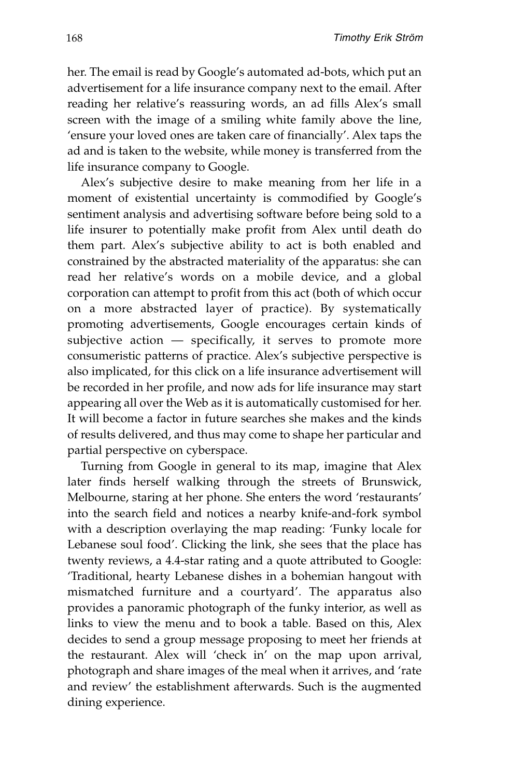her. The email is read by Google's automated ad-bots, which put an advertisement for a life insurance company next to the email. After reading her relative's reassuring words, an ad fills Alex's small screen with the image of a smiling white family above the line, 'ensure your loved ones are taken care of financially'. Alex taps the ad and is taken to the website, while money is transferred from the life insurance company to Google.

Alex's subjective desire to make meaning from her life in a moment of existential uncertainty is commodified by Google's sentiment analysis and advertising software before being sold to a life insurer to potentially make profit from Alex until death do them part. Alex's subjective ability to act is both enabled and constrained by the abstracted materiality of the apparatus: she can read her relative's words on a mobile device, and a global corporation can attempt to profit from this act (both of which occur on a more abstracted layer of practice). By systematically promoting advertisements, Google encourages certain kinds of subjective action  $-$  specifically, it serves to promote more consumeristic patterns of practice. Alex's subjective perspective is also implicated, for this click on a life insurance advertisement will be recorded in her profile, and now ads for life insurance may start appearing all over the Web as it is automatically customised for her. It will become a factor in future searches she makes and the kinds of results delivered, and thus may come to shape her particular and partial perspective on cyberspace.

Turning from Google in general to its map, imagine that Alex later finds herself walking through the streets of Brunswick, Melbourne, staring at her phone. She enters the word 'restaurants' into the search field and notices a nearby knife-and-fork symbol with a description overlaying the map reading: 'Funky locale for Lebanese soul food'. Clicking the link, she sees that the place has twenty reviews, a 4.4-star rating and a quote attributed to Google: 'Traditional, hearty Lebanese dishes in a bohemian hangout with mismatched furniture and a courtyard'. The apparatus also provides a panoramic photograph of the funky interior, as well as links to view the menu and to book a table. Based on this, Alex decides to send a group message proposing to meet her friends at the restaurant. Alex will 'check in' on the map upon arrival, photograph and share images of the meal when it arrives, and 'rate and review' the establishment afterwards. Such is the augmented dining experience.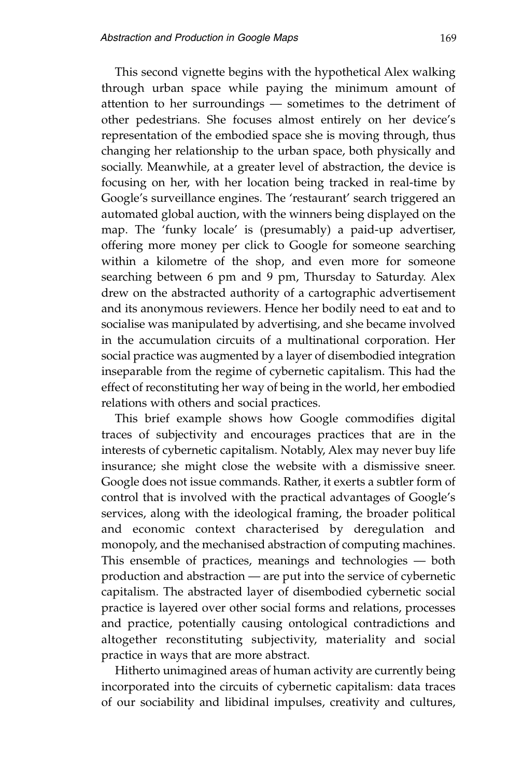This second vignette begins with the hypothetical Alex walking through urban space while paying the minimum amount of attention to her surroundings — sometimes to the detriment of other pedestrians. She focuses almost entirely on her device's representation of the embodied space she is moving through, thus changing her relationship to the urban space, both physically and socially. Meanwhile, at a greater level of abstraction, the device is focusing on her, with her location being tracked in real-time by Google's surveillance engines. The 'restaurant' search triggered an automated global auction, with the winners being displayed on the map. The 'funky locale' is (presumably) a paid-up advertiser, offering more money per click to Google for someone searching within a kilometre of the shop, and even more for someone searching between 6 pm and 9 pm, Thursday to Saturday. Alex drew on the abstracted authority of a cartographic advertisement and its anonymous reviewers. Hence her bodily need to eat and to socialise was manipulated by advertising, and she became involved in the accumulation circuits of a multinational corporation. Her social practice was augmented by a layer of disembodied integration inseparable from the regime of cybernetic capitalism. This had the effect of reconstituting her way of being in the world, her embodied relations with others and social practices.

This brief example shows how Google commodifies digital traces of subjectivity and encourages practices that are in the interests of cybernetic capitalism. Notably, Alex may never buy life insurance; she might close the website with a dismissive sneer. Google does not issue commands. Rather, it exerts a subtler form of control that is involved with the practical advantages of Google's services, along with the ideological framing, the broader political and economic context characterised by deregulation and monopoly, and the mechanised abstraction of computing machines. This ensemble of practices, meanings and technologies — both production and abstraction — are put into the service of cybernetic capitalism. The abstracted layer of disembodied cybernetic social practice is layered over other social forms and relations, processes and practice, potentially causing ontological contradictions and altogether reconstituting subjectivity, materiality and social practice in ways that are more abstract.

Hitherto unimagined areas of human activity are currently being incorporated into the circuits of cybernetic capitalism: data traces of our sociability and libidinal impulses, creativity and cultures,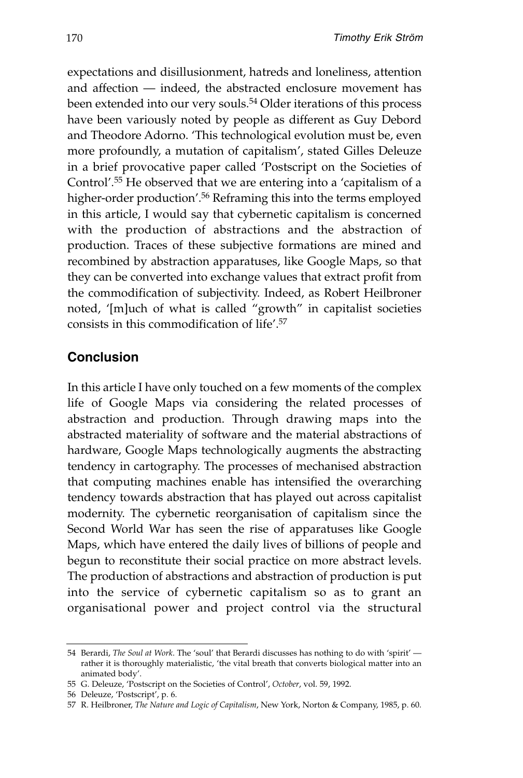expectations and disillusionment, hatreds and loneliness, attention and affection — indeed, the abstracted enclosure movement has been extended into our very souls.54 Older iterations of this process have been variously noted by people as different as Guy Debord and Theodore Adorno. 'This technological evolution must be, even more profoundly, a mutation of capitalism', stated Gilles Deleuze in a brief provocative paper called 'Postscript on the Societies of Control'.55 He observed that we are entering into a 'capitalism of a higher-order production'.<sup>56</sup> Reframing this into the terms employed in this article, I would say that cybernetic capitalism is concerned with the production of abstractions and the abstraction of production. Traces of these subjective formations are mined and recombined by abstraction apparatuses, like Google Maps, so that they can be converted into exchange values that extract profit from the commodification of subjectivity. Indeed, as Robert Heilbroner noted, '[m]uch of what is called "growth" in capitalist societies consists in this commodification of life'.57

### **Conclusion**

In this article I have only touched on a few moments of the complex life of Google Maps via considering the related processes of abstraction and production. Through drawing maps into the abstracted materiality of software and the material abstractions of hardware, Google Maps technologically augments the abstracting tendency in cartography. The processes of mechanised abstraction that computing machines enable has intensified the overarching tendency towards abstraction that has played out across capitalist modernity. The cybernetic reorganisation of capitalism since the Second World War has seen the rise of apparatuses like Google Maps, which have entered the daily lives of billions of people and begun to reconstitute their social practice on more abstract levels. The production of abstractions and abstraction of production is put into the service of cybernetic capitalism so as to grant an organisational power and project control via the structural

<sup>54</sup> Berardi, *The Soul at Work*. The 'soul' that Berardi discusses has nothing to do with 'spirit' rather it is thoroughly materialistic, 'the vital breath that converts biological matter into an animated body'.

<sup>55</sup> G. Deleuze, 'Postscript on the Societies of Control', *October*, vol. 59, 1992.

<sup>56</sup> Deleuze, 'Postscript', p. 6.

<sup>57</sup> R. Heilbroner, *The Nature and Logic of Capitalism*, New York, Norton & Company, 1985, p. 60.